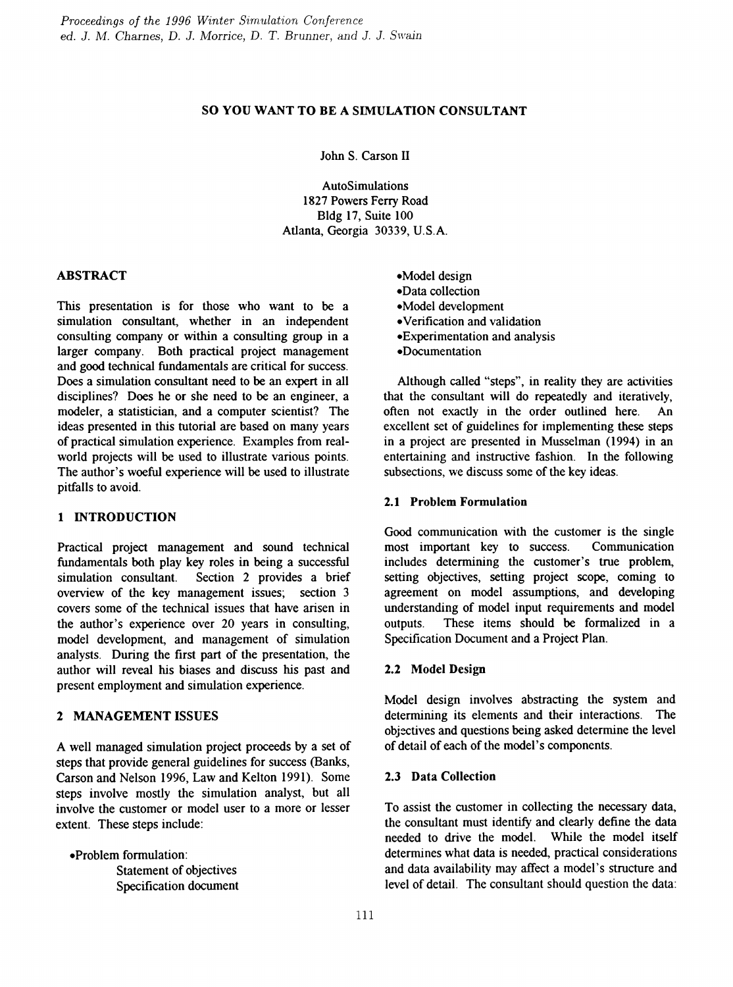## so YOU WANT TO BE <sup>A</sup> SIMULATION CONSULTANT

John S. Carson IT

AutoSimulations 1827 Powers Ferry Road Bldg 17, Suite 100 Atlanta, Georgia 30339, U.S.A.

### ABSTRACT

This presentation is for those who want to be a simulation consultant, whether in an independent consulting company or within a consulting group in a larger company. Both practical project management and good technical fundamentals are critical for success. Does a simulation consultant need to be an expert in all disciplines? Does he or she need to be an engineer, a modeler, a statistician, and a computer scientist? The ideas presented in this tutorial are based on many years of practical simulation experience. Examples from realworld projects will be used to illustrate various points. The author's woeful experience will be used to illustrate pitfalls to avoid.

#### 1 INTRODUCTION

Practical project management and sound technical fundamentals both play key roles in being a successful simulation consultant. Section 2 provides a brief overview of the key management issues; section 3 covers some of the technical issues that have arisen in the author's experience over 20 years in consulting, model development, and management of simulation analysts. During the first part of the presentation, the author will reveal his biases and discuss his past and present employment and simulation experience.

## 2 MANAGEMENT ISSUES

A well managed simulation project proceeds by a set of steps that provide general guidelines for success (Banks, Carson and Nelson 1996, Law and Kelton 1991). Some steps involve mostly the simulation analyst, but all involve the customer or model user to a more or lesser extent. These steps include:

• Problem formulation: Statement of objectives Specification document eModel design eData collection eModel development eVerification and validation eExperimentation and analysis eDocumentation

Although called "steps", in reality they are activities that the consultant will do repeatedly and iteratively, often not exactly in the order outlined here. An excellent set of guidelines for implementing these steps in a project are presented in Musselman (1994) in an entertaining and instructive fashion. In the following subsections, we discuss some of the key ideas.

### 2.1 Problem Formulation

Good communication with the customer is the single most important key to success. Communication includes determining the customer's true problem, setting objectives, setting project scope, coming to agreement on model assumptions, and developing understanding of model input requirements and model outputs. These items should be formalized in a Specification Document and a Project Plan.

## 2.2 Model Design

Model design involves abstracting the system and determining its elements and their interactions. The objectives and questions being asked determine the level of detail of each of the model's components.

#### 2.3 Data Collection

To assist the customer in collecting the necessary data, the consultant must identify and clearly define the data needed to drive the model. While the model itself determines what data is needed, practical considerations and data availability may affect a model's structure and level of detail. The consultant should question the data: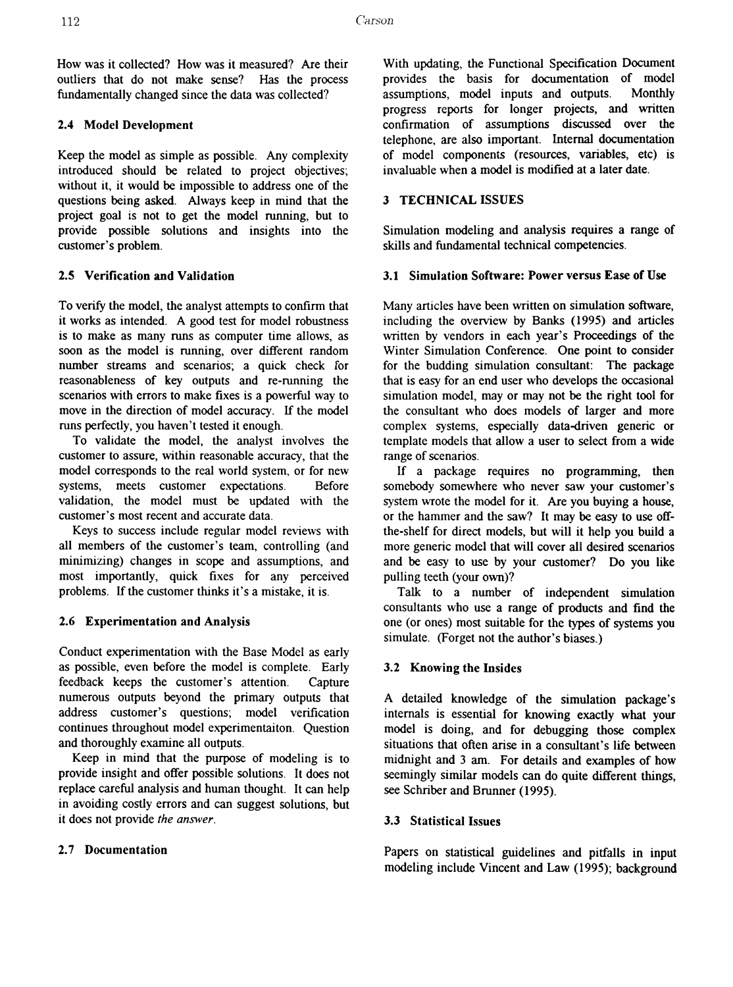How was it collected? How was it measured? Are their outliers that do not make sense? Has the process fundamentally changed since the data was collected?

### 2.4 Model Development

Keep the model as simple as possible. Any complexity introduced should be related to project objectives; without it, it would be impossible to address one of the questions being asked. Always keep in mind that the project goal is not to get the model running, but to provide possible solutions and insights into the customer's problem.

## 2.5 Verification and Validation

To verify the model, the analyst attempts to confirm that it works as intended. A good test for model robustness is to make as many runs as computer time allows, as soon as the model is running, over different random number streams and scenarios; a quick check for reasonableness of key outputs and re-running the scenarios with errors to make fixes is a powerful way to move in the direction of model accuracy. If the model runs perfectly, you haven't tested it enough.

To validate the model, the analyst involves the customer to assure, within reasonable accuracy, that the model corresponds to the real world system, or for new systems, meets customer expectations. Before validation, the model must be updated with the customer's most recent and accurate data.

Keys to success include regular model reviews with all members of the customer's team, controlling (and minimizing) changes in scope and assumptions, and most importantly, quick fixes for any perceived problems. If the customer thinks it's a mistake, it is.

## 2.6 Experimentation and Analysis

Conduct experimentation with the Base Model as early as possible, even before the model is complete. Early feedback keeps the customer's attention. Capture numerous outputs beyond the primary outputs that address customer's questions; model verification continues throughout model experimentaiton. Question and thoroughly examine all outputs.

Keep in mind that the purpose of modeling is to provide insight and offer possible solutions. It does not replace careful analysis and human thought. It can help in avoiding costly errors and can suggest solutions, but it does not provide the answer.

## 2.7 Documentation

With updating, the Functional Specification Document provides the basis for documentation of model assumptions, model inputs and outputs. Monthly progress reports for longer projects, and written confirmation of assumptions discussed over the telephone, are also important. Internal documentation of model components (resources, variables, etc) is invaluable when a model is modified at a later date.

## 3 TECHNICAL ISSUES

Simulation modeling and analysis requires a range of skills and fundamental technical competencies.

### 3.1 Simulation Software: Power versus Ease of Use

Many articles have been written on simulation software, including the overview by Banks (1995) and articles written by vendors in each year's Proceedings of the Winter Simulation Conference. One point to consider for the budding simulation consultant: The package that is easy for an end user who develops the occasional simulation model, may or may not be the right tool for the consultant who does models of larger and more complex systems, especially data-driven generic or template models that allow a user to select from a wide range of scenarios.

If a package requires no programming, then somebody somewhere who never saw your customer's system wrote the model for it. Are you buying a house, or the hammer and the saw? It may be easy to use offthe-shelf for direct models, but will it help you build a more generic model that will cover all desired scenarios and be easy to use by your customer? Do you like pulling teeth (your own)?

Talk to a number of independent simulation consultants who use a range of products and find the one (or ones) most suitable for the types of systems you simulate. (Forget not the author's biases.)

## 3.2 Knowing the Insides

A detailed knowledge of the simulation package's internals is essential for knowing exactly what your model is doing, and for debugging those complex situations that often arise in a consultant's life between midnight and 3 am. For details and examples of how seemingly similar models can do quite different things, see Schriber and Brunner (1995).

## 3.3 Statistical Issues

Papers on statistical guidelines and pitfalls in input modeling include Vincent and Law (1995); background